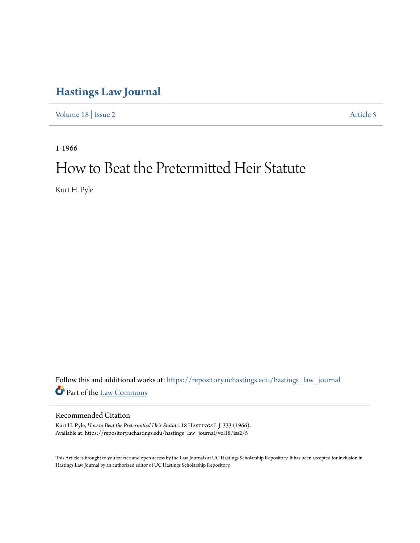## **[Hastings Law Journal](https://repository.uchastings.edu/hastings_law_journal?utm_source=repository.uchastings.edu%2Fhastings_law_journal%2Fvol18%2Fiss2%2F5&utm_medium=PDF&utm_campaign=PDFCoverPages)**

[Volume 18](https://repository.uchastings.edu/hastings_law_journal/vol18?utm_source=repository.uchastings.edu%2Fhastings_law_journal%2Fvol18%2Fiss2%2F5&utm_medium=PDF&utm_campaign=PDFCoverPages) | [Issue 2](https://repository.uchastings.edu/hastings_law_journal/vol18/iss2?utm_source=repository.uchastings.edu%2Fhastings_law_journal%2Fvol18%2Fiss2%2F5&utm_medium=PDF&utm_campaign=PDFCoverPages) [Article 5](https://repository.uchastings.edu/hastings_law_journal/vol18/iss2/5?utm_source=repository.uchastings.edu%2Fhastings_law_journal%2Fvol18%2Fiss2%2F5&utm_medium=PDF&utm_campaign=PDFCoverPages)

1-1966

# How to Beat the Pretermitted Heir Statute

Kurt H. Pyle

Follow this and additional works at: [https://repository.uchastings.edu/hastings\\_law\\_journal](https://repository.uchastings.edu/hastings_law_journal?utm_source=repository.uchastings.edu%2Fhastings_law_journal%2Fvol18%2Fiss2%2F5&utm_medium=PDF&utm_campaign=PDFCoverPages) Part of the [Law Commons](http://network.bepress.com/hgg/discipline/578?utm_source=repository.uchastings.edu%2Fhastings_law_journal%2Fvol18%2Fiss2%2F5&utm_medium=PDF&utm_campaign=PDFCoverPages)

### Recommended Citation

Kurt H. Pyle, *How to Beat the Pretermitted Heir Statute*, 18 HASTINGS L.J. 333 (1966). Available at: https://repository.uchastings.edu/hastings\_law\_journal/vol18/iss2/5

This Article is brought to you for free and open access by the Law Journals at UC Hastings Scholarship Repository. It has been accepted for inclusion in Hastings Law Journal by an authorized editor of UC Hastings Scholarship Repository.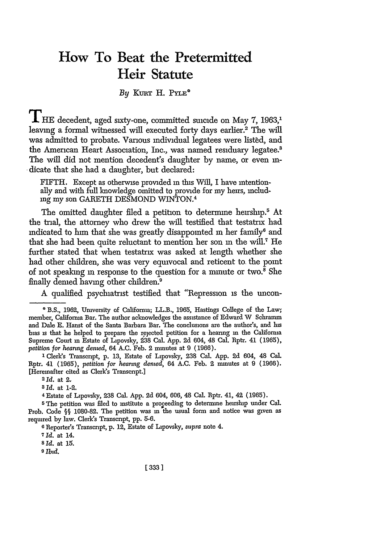## **How To Beat the Pretermitted Heir Statute**

#### By KURT H. PYLE<sup>®</sup>

THE decedent, aged sixty-one, committed suicide on May 7, 1963,<sup>1</sup> leaving a formal witnessed will executed forty days earlier.<sup>2</sup> The will was admitted to probate. Various individual legatees were listed, and the American Heart Association, Inc., was named residuary legatee.' The will did not mention decedent's daughter by name, or even indicate that she had a daughter, but declared:

FIFTH. Except as otherwise provided **in** this Will, I have intentionally and with full knowledge omitted to provide for my heirs, includ*ing* my son GARETH DESMOND WINTON. <sup>4</sup>

The omitted daughter filed a petition to determine heirship.<sup>5</sup> At the trial, the attorney who drew the will testified that testatrix had indicated to **him** that she was greatly disappointed **in** her family6 and that she had been quite reluctant to mention her son **in** the will.7 He further stated that when testatrix was asked at length whether she had other children, she was very equivocal and reticent to the point of not speaking in response to the question for a minute or two.<sup>8</sup> She finally demed having other children.<sup>9</sup>

A qualified psychiatrist testified that "Repression is the uncon-

**1** Clerk's Transcript, p. 13, Estate of Lipovsky, 238 Cal. App. 2d 604, 48 Cal. Rptr. 41 (1965), *petition for hearing dented,* 64 **A.C.** Feb. 2 minutes at 9 (1966). [Hereinafter cited as Clerk's Transcript.]

*2* id. at 2.

*3* **Id.** at 1-2.

4 Estate of Lipovsky, 238 Cal. **App.** 2d 604, 606, 48 Cal. Rptr. 41, 42 (1965).

**5The** petition was filed to institute a proceeding to determine heirship under Cal. Prob. Code **§§** 1080-82. The petition was in the usual form and notice was given as required by law. Clerk's Transcript, **pp.** 5-6.

**6** Reporter's Transcript, p. 12, Estate of Lipovsky, *supra* note 4.

**7Id.** at 14.

**<sup>8</sup>Id.** at **15.**

*9 Izd.*

*[333]*

**<sup>\*</sup>** B.S., 1962, University of California; LL.B., 1965, Hastings College of the Law; member, California Bar. The author acknowledges the assistance of Edward W Schramm and Dale E. Hanst of the Santa Barbara Bar. The conclusions are the author's, and is bias is that he helped to prepare the rejected petition for a hearing **in** the California Supreme Court in Estate of Lipovsky, 238 Cal. **App.** 2d 604, 48 Cal. Rptr. 41 (1965), *petition for hearing dened,* 64 A.C. Feb. 2 minutes at 9 (1966).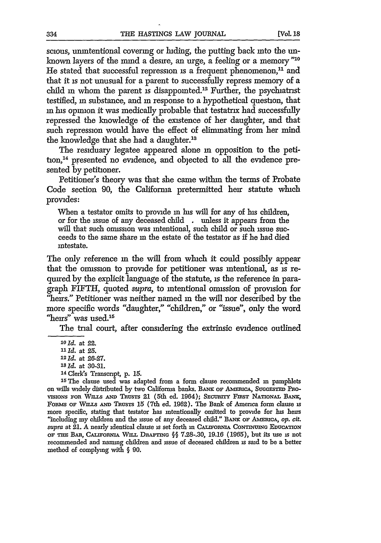scious, unintentional covering or hiding, the putting back into the unknown layers of the mind a desire, an urge, a feeling or a memory "10 He stated that successful repression is a frequent phenomenon, $11$  and that it is not unusual for a parent to successfully repress memory of a child in whom the parent is disappointed.<sup>12</sup> Further, the psychiatrist testified, **in** substance, and **in** response to a hypothetical question, that in his opinion it was medically probable that testatrix had successfully repressed the knowledge of the existence of her daughter, and that such repression would have the effect of eliminating from her mind the knowledge that she had a daughter.'<sup>3</sup>

The residuary legatee appeared alone **in** opposition to the petition,<sup>14</sup> presented no evidence, and objected to all the evidence presented by petitioner.

Petitioner's theory was that she came within the terms of Probate Code section 90, the California pretermitted heir statute which provides:

When a testator omits to provide **in** his will for any of his children, or for the issue of any deceased child . unless it appears from the will that such omission was intentional, such child or such issue succeeds to the same share in the estate of the testator as if he had died intestate.

The only reference **in** the will from which it could possibly appear that the omission to provide for petitioner was intentional, as is required by the explicit language of the statute, is the reference in paragraph FIFTH, quoted *supra*, to intentional omission of provision for "heirs." Petitioner was neither named in the will nor described by the more specific words "daughter," "children," or "issue", only the word "heirs" was used.<sup>15</sup>

The trial court, after considering the extrinsic evidence outlined

**'Old.** at 22. *1" Id.* at **25.** *12* **Id.** at **26-27. <sup>13</sup>***Id.* at **30-31. <sup>1</sup>**

**<sup>4</sup>** Clerk's Transcript, p. 15.

**<sup>15</sup>**The clause used was adapted from a form clause recommended m pamphlets on wills widely distributed by two Califorma banks. BANK OF AMERICA, SUGGESTED PRO-**VISIONS Fon Wr.s A"** TRusTS 21 (5th ed. 1964); **SEcuriTY** Frost NATIoNAL **BANIJ,** FORMS OF WILLS AND TRUSTS 15 (7th ed. 1962). The Bank of America form clause is more specific, stating that testator has intentionally omitted to provide for his heirs "including my children and the issue of any deceased child." BANK OF AMERICA, op. cit. *supra* at 21. A nearly identical clause is set forth in CALIFORNIA CONTINUING EDUCATION oF **=** BAR, **CAr Fomu** WnLL DnAarnN **§§** 7.28-.30, 19.16 (1965), but its use **is** not recommended and naming children and issue of deceased children is said to be a better method of complying with **§** 90.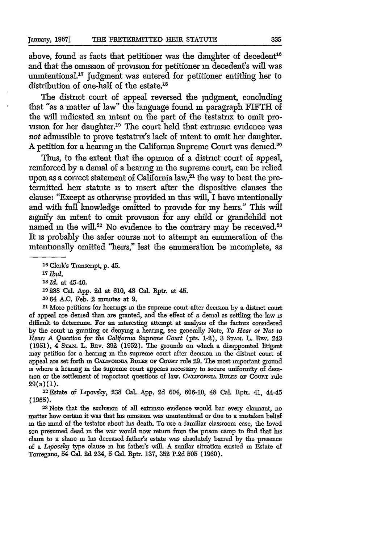above, found as facts that petitioner was the daughter of decedent<sup>16</sup> and that the omission of provision for petitioner in decedent's will was unintentional.<sup>17</sup> Judgment was entered for petitioner entitling her to distribution of one-half of the estate.<sup>18</sup>

The district court of appeal reversed the judgment, concluding that "as a matter of law" the language found **in** paragraph FIFTH of the will indicated an intent on the part of the testatrix to omit provision for her daughter.<sup>19</sup> The court held that extrinsic evidence was not admissible to prove testatrix's lack of intent to omit her daughter. A petition for a hearing in the California Supreme Court was demed.<sup>20</sup>

Thus, to the extent that the opinion of a district court of appeal, remforced by a denial of a hearing in the supreme court, can be relied upon as a correct statement of California law, $^{21}$  the way to beat the pretermitted heir statute is to insert after the dispositive clauses the clause: "Except as otherwise provided **in** this will, I have intentionally and with full knowledge omitted to provide for my heirs." This will signify an intent to omit provision for any child or grandchild not named in the will.<sup>22</sup> No evidence to the contrary may be received.<sup>23</sup> It is probably the safer course not to attempt an enumeration of the intentionally omitted "heirs," lest the enumeration be incomplete, as

<sup>21</sup> More petitions for hearings in the supreme court after decision by a district court of appeal are denied than are granted, and the effect of a denial as settling the law is difficult to determine. For an interesting attempt at analysis of the factors considered by the court **in** granting or denying a hearing, see generally Note, *To Hear or Not to Hear: A Question for the Califorma Supreme Court* (pts. 1-2), 3 **STAw.** L. Buy. 243 (1951), 4 STAN. L. REV. 392 (1952). The grounds on which a disappointed litigant may petition for a hearing **in** the supreme court after decision in the district court of appeal are set forth in CALIFORNIA RULES OF COURT rule 29. The most important ground is where a hearing in the supreme court appears necessary to secure uniformity of decision or the settlement of important questions of law. CaL.Fornu RuLEs oF **Counry** rule 29(a) **(1).**

22 Estate of Lipovsky, 238 Cal. App. **2d** 604, 606-10, 48 Cal. Rptr. 41, 44-45 (1965).

**<sup>23</sup>**Note that the exclusion of all extrinsic evidence would bar every clannant, no matter how certain it was that his omission was unintentional or due to a mistaken belief in the mind of the testator about his death. To use a familiar classroom case, the loved son presumed dead **in** the war would now return from the prison camp to find that his claim to a share **in** his deceased father's estate was absolutely barred by the presence of a *Lipovsky* type clause in his father's will. A similar situation existed **in** Estate of Torregano, 54 Cal. **2d** 234, 5 Cal. Rptr. 137, **352** P.2d **505** (1960).

**<sup>16</sup>**Clerk's Transcript, **p.** 45.

**<sup>17</sup>Ibtd**

*<sup>18</sup> Id.* at 45-46.

**<sup>19</sup>** 238 Cal. App. 2d at 610, 48 Cal. Rptr. at 45.

**<sup>20</sup>** 64 A.C. Feb. 2 minutes at 9.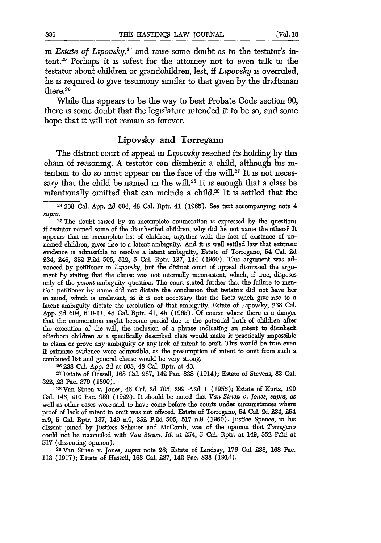*in Estate of Lpovsky,24* and raise some doubt as to the testator's in**tent.25** Perhaps it is safest for the attorney not to even talk to the testator about children or grandchildren, lest, if *Lypovsky* is overruled, he is required to give testimony similar to that given by the draftsman there.<sup>26</sup>

While this appears to be the way to beat Probate Code section 90, there is some doubt that the legislature intended it to be so, and some hope that it will not remain so forever.

#### Lipovsky and Torregano

The district court of appeal in *Lipovsky* reached its holding by this chain of reasoning. A testator can disinherit a child, although his intention to do so must appear on the face of the will. $27$  It is not necessary that the child be named in the will.<sup>28</sup> It is enough that a class be intentionally omitted that can include a child.29 It is settled that the

**<sup>25</sup>**The doubt raised by an incomplete enumeration is expressed by the question: if testator named some of the disinherited children, why did he not name the others? It appears that an incomplete list of children, together with the fact of existence of unnamed children, gives rise to a latent ambiguity. And it **is** well settled law that extrinsic evidence **is** admissible to resolve a latent ambiguity, Estate of Torregano, 54 Cal. **2d** 234, 246, **352** P.2d 505, 512, 5 Cal. Rptr. 137, 144 (1960). This argument was advanced by petitioner **in** *Lipovsky,* but the district court of appeal dismissed the argument by stating that the clause was not internally inconsistent, which, if true, disposes only of the *patent* ambiguity question. The court stated further that the failure to mention petitioner by name did not dictate the conclusion that testatrix did not have her **in** mind, which is irrelevant, as it **is** not necessary that the facts whch give rise to a latent ambiguity dictate the resolution of that ambiguity. Estate of Lipovsky, 238 Cal. App. 2d 604, 610-11, 48 Cal. Rptr. 41, 45 (1965). Of course where there **is** a danger that the enumeration might become partial due to the potential birth of children after the execution of the will, the inclusion of a phrase indicating an intent to disinherit afterborn children as a specifically described class would make it practically impossible to claim or prove any ambiguity or any lack of intent to omit. This would be true even if extrinsic evidence were admissible, as the presumption of intent to omit from such a combined list and general clause would be very strong.

<sup>26</sup> 238 Cal. App. 2d at 608, 48 Cal. Rptr. at 43. 27 Estate of Stevens, 83 Cal. <sup>27</sup> Estate of Hassell, 168 Cal. 287, 142 Pac. 838 (1914); Estate of Stevens, 83 Cal. 322, 23 Pac. 379 (1890).

**28Van** Strien v. Jones, 46 Cal. 2d 705, 299 **P.2d** 1 (1956); Estate of Kurtz, 190 Cal. 146, 210 Pac. 959 (1922). It should be noted that *Van Strien v. Jones*, supra, as well as other cases were said to have come before the courts under circumstances where proof of lack of intent to omit was not offered. Estate of Torregano, 54 Cal. **2d** 234, 254 n.9, 5 Cal. Rptr. 137, 149 n.9, **352** P.2d 505, 517 n.9 (1960). Justice Spence, **in** his dissent joined by Justices Schauer and McComb, was of the opinion that *Torregano* could not be reconciled with *Van Stnen. Id.* at 254, 5 Cal. Rptr. at 149, 352 P.2d at 517 (dissenting opinion).

**<sup>29</sup>**Van Strien v. Jones, *supra* note 28; Estate of Lindsay, 176 Cal. 238, 168 Pac. 113 (1917); Estate of Hassell, 168 Cal. 287, 142 Pac. 838 (1914).

<sup>24238</sup> Cal. App. 2d 604, 48 Cal. Rptr. 41 (1965). See text accompanying note 4 *supra.*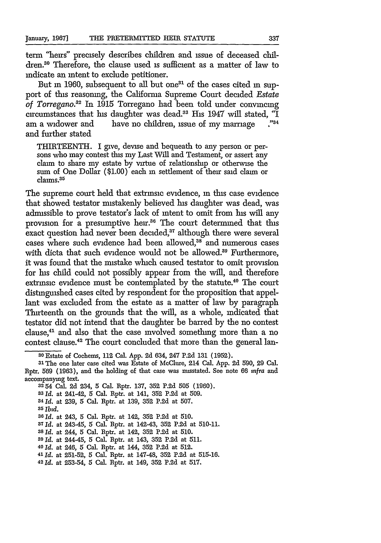term "heirs" precisely describes children and issue of deceased children.30 Therefore, the clause used is sufficient as a matter of law to indicate an intent to exclude petitioner.

But **in 1960**, subsequent to all but one<sup>31</sup> of the cases cited **in** support of this reasoning, the California Supreme Court decided *Estate of Torregano.12* In 1915 Torregano had been told under convincing circumstances that his daughter was dead.33 His 1947 will stated, *"I* am a widower and have no children, issue of my marriage and further stated

THIRTEENTH. I give, devise and bequeath to any person or persons who may contest this my Last Will and Testament, or assert any claim to share my estate by virtue of relationship or otherwise the sum of One Dollar (\$1.00) each in settlement of their said claim or claims.<sup>35</sup>

The supreme court held that extrinsic evidence, **in** this case evidence that showed testator mistakenly believed his daughter was dead, was admissible to prove testator's lack of intent to omit from his will any provision for a presumptive heir.<sup>36</sup> The court determined that this exact question had never been decided,<sup>37</sup> although there were several cases where such evidence had been allowed,<sup>38</sup> and numerous cases with dicta that such evidence would not be allowed.<sup>39</sup> Furthermore, it was found that the mistake which caused testator to omit provision for his child could not possibly appear from the will, and therefore extrinsic evidence must be contemplated by the statute.<sup>40</sup> The court distinguished cases cited by respondent for the proposition that appellant was excluded from the estate as a matter of law by paragraph Thirteenth on the grounds that the will, as a whole, indicated that testator did not intend that the daughter be barred by the no contest clause, 41 and also that the case involved something more than a no contest clause.42 The court concluded that more than the general lan-

accompanymg text. **<sup>3254</sup>**Cal. 2d 234, 5 Cal. Rptr. 137, **352** P.2d 505 (1960). **331d.** at 241-42, 5 Cal. Rptr. at 141, 352 P.2d at 509.

- **<sup>34</sup>***Id.* at 239, 5 Cal. Rptr. at 139, 352 P.2d at 507.
- *<sup>35</sup>Ibid.*
- **<sup>36</sup>***Id.* at 243, 5 Cal. Rptr. at 142, 352 P.2d at 510.

**37 Id.** at 243-45, 5 Cal. Rptr. at 142-43, 352 P.2d at 510-11.

- **<sup>38</sup>***Id.* at 244, 5 Cal. Rptr. at 142, 352 P.2d at 510.
- **<sup>39</sup>***Id.* at 244-45, 5 Cal. Rptr. at 143, **352** P.2d at 511.
- <sup>40</sup>*Id.* at 246, 5 Cal. Rptr. at 144, **352** P.2d at **512.**
- <sup>41</sup>**Id.** at 251-52, 5 Cal. Rptr. at 147-48, 352 P.2d at 515-16.
- **<sup>42</sup>***Id.* at 253-54, 5 Cal. Rptr. at 149, **352** P.2d at **517.**

**<sup>30</sup>**Estate of Cochems, 112 Cal. App. 2d 634, 247 P.2d 131 (1952).

**<sup>31</sup>**The one later case cited was Estate of McClure, 214 Cal. App. 2d 590, 29 Cal. Rptr. 569 (1963), and the holding of that case was nusstated. See note 66 *infra* and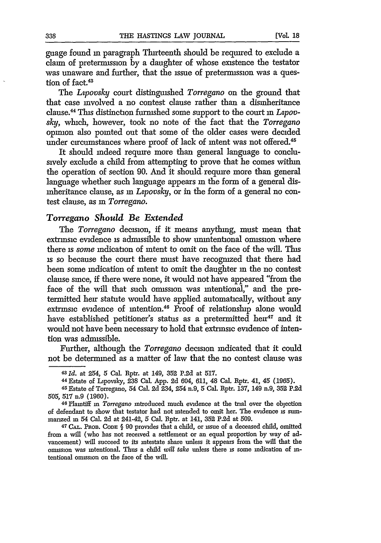guage found in paragraph Thirteenth should be required to exclude a claim of pretermission by a daughter of whose existence the testator was unaware and further, that the issue of pretermission was a question of fact.<sup>43</sup>

The *Ltpovsky* court distinguished *Torregano* on the ground that that case involved a no contest clause rather than a disinheritance clause. <sup>44</sup>**This** distinction furnished some support to the court in *Lzpovsky,* which, however, took no note of the fact that the *Torregano* opinion also pointed out that some of the older cases were decided under circumstances where proof of lack of intent was not offered.<sup>45</sup>

It should indeed require more than general language to conclusively exclude a child from attempting to prove that he comes within the operation of section 90. And it should require more than general language whether such language appears in the form of a general disinheritance clause, as *in Lpovsky,* or in the form of a general no contest clause, as **in** *Torregano.*

#### *Torregano Should Be Extended*

The *Torregano* decision, if it means anything, must mean that extrinsic evidence is admissible to show unintentional omission where there is *some* indication of intent to omit on the face of the will. This is so because the court there must have recognized that there had been some indication of intent to omit the daughter **in** the no contest clause since, if there were none, it would not have appeared "from the face of the will that such omission was intentional," and the pretermitted heir statute would have applied automatically, without any extrinsic evidence of intention.<sup>46</sup> Proof of relationship alone would have established petitioner's status as a pretermitted heir<sup>47</sup> and it would not have been necessary to hold that extrinsic evidence of intention was admissible.

Further, although the *Torregano* decision indicated that it could not be determined as a matter of law that the no contest clause was

**<sup>43</sup>***Id.* at 254, 5 Cal. Rptr. at 149, **352 P.2d** at **517.**

<sup>44</sup> Estate of Lipovsky, 238 Cal. App. **2d** 604, 611, 48 Cal. Rptr. 41, 45 (1965). 45 Estate of Torregano, 54 Cal. 2d 234, 254 n.9, 5 Cal. Rptr. 137, 149 n.9, 352 P.2d

<sup>505, 517</sup> n.9 **(1960).**

**<sup>46</sup>**Plamtiff **in** *Torregano* introduced much evidence at the trial over the objection of defendant to show that testator had not intended to omit her. The evidence **is** sum-

manzed **in** 54 Cal. 2d at 241-42, 5 Cal. Rptr. at 141, **352** P.2d at 509. *<sup>4</sup> <sup>7</sup>***CAL. Nho3. CODE §** 90 provides that a child, or issue of a deceased child, omitted from a will (who has not received a settlement or an equal proportion **by** way of advancement) will succeed to its intestate share unless it appears from the will that the omission was intentional. Thus a child *will take* unless there is some indication of **in**tentional omission on the face of the will.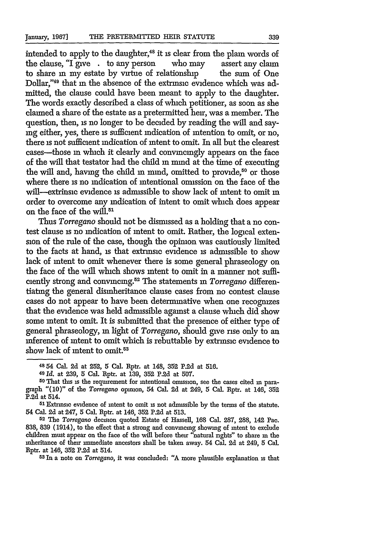intended to apply to the daughter,<sup>48</sup> it is clear from the plain words of the clause, "I give complex person who may assert any claim the clause, " $I$  give  $\cdot$  to any person to share in my estate by virtue of relationship the sum of One Dollar,"49 that **in** the absence of the extrinsic evidence which was admitted, the clause could have been meant to apply to the daughter. The words exactly described a class of which petitioner, as soon as she claimed a share of the estate as a pretermitted heir, was a member. The question, then, is no longer to be decided by reading the will and saymg either, yes, there **is** sufficient indication of intention to omit, or no, there **is** not sufficient indication of intent to omit. In all but the clearest cases-those in which it clearly and convincingly appears on the face of the will that testator had the child in mind at the time of executing the will and, having the child in mind, omitted to provide,<sup>50</sup> or those where there is no indication of intentional omission on the face of the will-extrinsic evidence is admissible to show lack of intent to omit **in** order to overcome any indication of intent to omit which does appear on the face of the will.<sup>51</sup>

Thus *Torregano* should not be dismissed as a holding that a no contest clause is no indication of intent to omit. Rather, the logical extension of the rule of the case, though the opimon was cautiously limited to the facts at hand, **is** that extrinsic evidence **is** admissible to show lack of intent to omit whenever there is some general phraseology on the face of the will which shows intent to omit in a manner not sufficiently strong and convincing.<sup>52</sup> The statements in *Torregano* differentiating the general disinheritance clause cases from no contest clause cases do not appear to have been determinative when one recognizes that the evidence was held admissible against a clause which did show some intent to omit. It is submitted that the presence of either type of general phraseology, in light of *Torregano,* should give rise only to an inference of intent to omit which is rebuttable by extrinsic evidence to show lack of intent to omit.<sup>53</sup>

**<sup>53</sup>**In a note on *Torregano,* it was concluded: "A more plausible explanation **is** that

**<sup>48</sup>** 54 Cal. 2d at 252, 5 Cal. Rptr. at 148, 352 P.2d at 516.

**<sup>49</sup>***Id.* at 239, 5 Cal. Rptr. at 139, **352** P.2d at 507.

**<sup>50</sup>** That this is the requirement for intentional omission, see the cases cited **in** paragraph "(10)" of the *Torregano* opinion, 54 Cal. 2d at 249, 5 Cal. Rptr. at 146, **352** P.2d at 514.

<sup>51</sup> Extrinsic evidence of intent to omit **is** not admissible by the terms of the statute. 54 Cal. 2d at 247, 5 Cal. Rptr. at 146, 352 P.2d at 513.

**<sup>52</sup>** The *Torregano* decision quoted Estate of Hassell, 168 Cal. 287, 288, 142 Pac. **838,** 839 (1914), to the effect that a strong and convincing showing of intent to exclude children must appear on the face of the will before their "natural nghts" to share **in** the inheritance of their immediate ancestors shall be taken away. 54 Cal. 2d at 249, 5 Cal. Rptr. at 146, **352** P.2d at 514.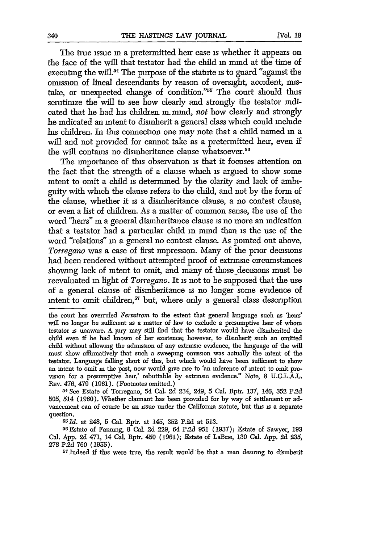The true issue in a pretermitted heir case is whether it appears on the face of the will that testator had the child **in** mind at the time of executing the will.<sup>54</sup> The purpose of the statute is to guard "against the omission of lineal descendants by reason of oversight, accident, mistake, or unexpected change of condition."<sup>55</sup> The court should thus scrutinize the will to see how clearly and strongly the testator indicated that he had his children in mind, not how clearly and strongly he indicated an intent to disinherit a general class which could include his children. In this connection one may note that a child named in a will and not provided for cannot take as a pretermitted heir, even if the will contains no disinheritance clause whatsoever.<sup>56</sup>

The importance of this observation is that it focuses attention on the fact that the strength of a clause which is argued to show some intent to omit a child is determined by the clarity and lack of ambiguity with which the clause refers to the child, and not by the form of the clause, whether it is a disinheritance clause, a no contest clause, or even a list of children. As a matter of common sense, the use of the word "heirs" in a general disinheritance clause is no more an indication that a testator had a particular child in mind than is the use of the word "relations" in a general no contest clause. As pointed out above, *Torregano* was a case of first impression. Many of the prior decisions had been rendered without attempted proof of extrinsic circumstances showing lack of intent to omit, and many of those decisions must be reevaluated **in** light of *Torregano.* It is not to be supposed that the use of a general clause of disinheritance is no longer some evidence of intent to omit children,<sup>57</sup> but, where only a general class description

*5* **Id.** at 248, 5 Cal. Rptr. at 145, 352 P.2d at 513.

the court has overruled *Fernstrom* to the extent that general language such as 'heirs' will no longer be sufficient as a matter of law to exclude a presumptive heir of whom testator is unaware. A jury may still find that the testator would have disinherited the child even if he had known of her existence; however, to disinherit such an omitted child without allowing the admission of any extrinsic evidence, the language of the will must show affirmatively that such a sweeping omission was actually the intent of the testator. Language falling short of this, but which would have been sufficient to show an intent to omit m the past, now would give rise to 'an inference of intent to omit provision for a presumptive heir,' rebuttable by extrinsic evidence." Note, 8 U.C.L.A.L. REv. 476, 479 (1961). (Footnotes omitted.)

**<sup>54</sup>**See Estate of Torregano, 54 Cal. **2d** 234, 249, 5 Cal. Rptr. 137, 146, 352 **P.2d** 505, 514 (1960). Whether claimant has been provided for by way of settlement or advancement can of course be an issue under the California statute, but this is a separate question.

<sup>56</sup>Estate of Fanning, 8 Cal. **2d** 229, 64 P.2d 951 (1937); Estate of Sawyer, 193 Cal. App. **2d** 471, 14 Cal. Rptr. 450 (1961); Estate of LaBne, 130 Cal. App. 2d 235, 278 P.2d 760 (1955).

<sup>&</sup>lt;sup>57</sup> Indeed if this were true, the result would be that a man desiring to disinherit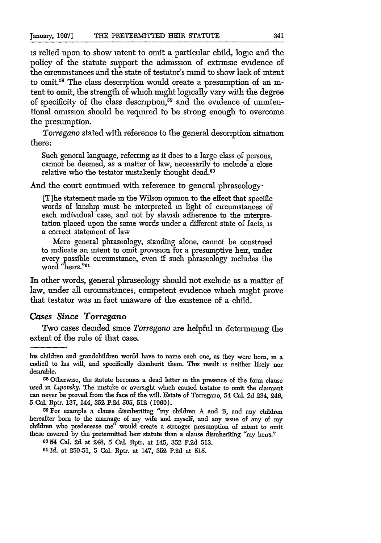is relied upon to show intent to omit a particular child, logic and the policy of the statute support the admission of extrinsic evidence of the circumstances and the state of testator's mind to show lack of intent to omit.58 The class description would create a presumption of an **in**tent to omit, the strength of which might logically vary with the degree of specificity of the class description,<sup>59</sup> and the evidence of unintentional onussion should be required to be strong enough to overcome the presumption.

*Torregano* stated with reference to the general description situation there:

Such general language, referring as it does to a large class of persons, cannot be deemed, as a matter of law, necessarily to include a close relative who the testator mistakenly thought dead.<sup>60</sup>

And the court continued with reference to general phraseology.

[T]he statement made m the Wilson opinon to the effect that specific words of kinship must be interpreted **in** light of circumstances of each individual case, and not by slavish adherence to the interpretation placed upon the same words under a different state of facts, is a correct statement of law

Mere general phraseology, standing alone, cannot be construed to indicate an intent to omit provision for a presumptive heir, under every possible circumstance, even if such phraseology includes the word "heirs."<sup>61</sup>

In other words, general phraseology should not exclude as a matter of law, under all circumstances, competent evidence which might prove that testator was **in** fact unaware of the existence of a child.

#### *Cases Since Torregano*

Two cases decided since *Torregano* are helpful in determining the extent of the rule of that case.

<sup>59</sup>For example a clause disinheriting "my children A and B, and any children hereafter born to the mamage of my wife and myself, and any issue of any of my children who predecease me" would create a stronger presumption of intent to omit those covered by the pretermitted heir statute than a clause disinheriting "my heirs."

**80 54** Cal. 2d at 248, 5 Cal. Rptr. at 145, **352 P.2d** 513.

**<sup>61</sup>***Id.* at 250-51, 5 Cal. Rptr. at 147, 352 P.2d at 515.

his children and grandchildren would have to name each one, as they were born, **in** a codicil to his will, and specifically disinherit them. This result is neither likely nor desirable.

<sup>58</sup> Otherwise, the statute becomes a dead letter **m** the presence of the form clause used in *Lipovsky*. The mistake or oversight which caused testator to omit the claimant can never be proved from the face of the will. Estate of Torregano, 54 Cal. **2d** 234, 246, **5** Cal. Rptr. 137, 144, **352** P.2d 505, 512 (1960).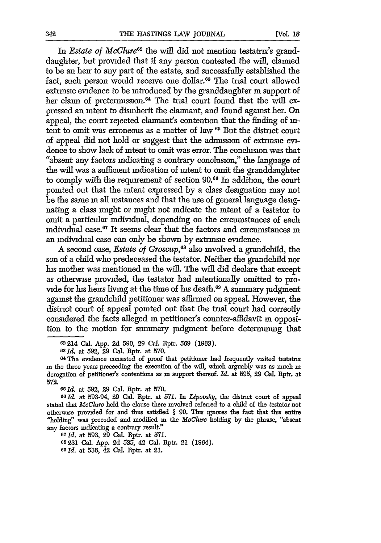In *Estate of McClure*<sup>62</sup> the will did not mention testatrix's granddaughter, but provided that if any person contested the will, claimed to be an heir to any part of the estate, and successfully established the fact, such person would receive one dollar.<sup>63</sup> The trial court allowed extrinsic evidence to be introduced by the granddaughter **in** support of her claim of pretermission.<sup>64</sup> The trial court found that the will expressed an intent to disinherit the claimant, and found against her. On appeal, the court rejected claimant's contention that the finding of intent to omit was erroneous as a matter of law <sup>65</sup> But the district court of appeal did not hold or suggest that the admission of extnnsic evidence to show lack of intent to omit was error. The conclusion was that "absent any factors indicating a contrary conclusion," the language of the will was a sufficient indication of intent to omit the granddaughter to comply with the requirement of section **90.66** In addition, the court pointed out that the intent expressed by a class designation may not be the same **in** all instances and that the use of general language designating a class might or might not indicate the intent of a testator to omit a particular individual, depending on the circumstances of each individual case.67 It seems clear that the factors and circumstances **in** an individual case can only be shown by extrinsic evidence.

A second case, *Estate of Groscup,66* also involved a grandchild, the son of a child who predeceased the testator. Neither the grandchild nor his mother was mentioned in the will. The will did declare that except as otherwise provided, the testator had intentionally omitted to provide for his heirs living at the time of his death.<sup>69</sup> A summary judgment against the grandchild petitioner was affirmed on appeal. However, the district court of appeal pointed out that the trial court had correctly considered the facts alleged in petitioner's counter-affidavit **in** opposition to the motion for summary judgment before determining that

*66Id.* at 593-94, **29** Cal. Rptr. at 571. *In Lipovsky,* the district court of appeal stated that *McClure* held the clause there involved referred to a child of the testator not otherwise provided for and thus satisfied  $\S$  90. This ignores the fact that this entire "holding" was preceded and modified in the *McClure* holding by the phrase, "absent any factors indicating a contrary result."

**<sup>67</sup>***Id.* at 593, **29** Cal. Rptr. at 571.

**68231** Cal. App. **2d 535,** 42 Cal. Rptr. 21 (1964).

**<sup>69</sup>***Id.* at **536,** 42 Cal. Rptr. at 21.

**<sup>62214</sup>** Cal. App. 2d 590, **29** Cal. Rptr. 569 (1963).

**<sup>63</sup>***Id.* at 592, 29 Cal. Rptr. at 570.

**<sup>64</sup>** The evidence consisted of proof that petitioner had frequently visited testatrix **in** the three years preceeding the execution of the will, which arguably was as much **in** derogation of petitioner's contentions as *in* support thereof. *Id.* at 595, 29 Cal. Rptr. at **572.**

**<sup>05</sup>***Id.* at 592, **29** Cal. Rptr. at 570.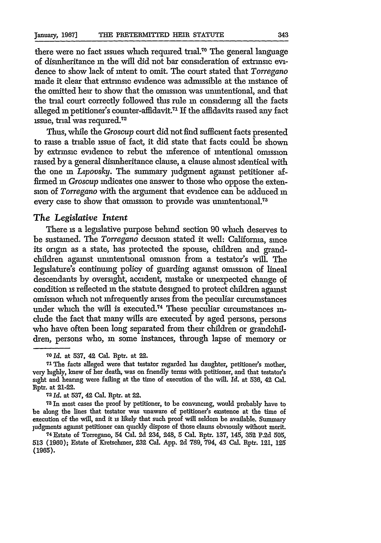there were no fact issues which required trial.<sup>70</sup> The general language of disinheritance **in** the will did not bar consideration of extrinsic evidence to show lack of intent to omit. The court stated that *Torregano* made it clear that extrinsic evidence was admissible at the instance of the omitted heir to show that the omission was unintentional, and that the trial court correctly followed this rule in considering all the facts alleged *in* petitioner's counter-affidavit. <sup>71</sup>**If** the affidavits raised any fact issue, trial was required.<sup>72</sup>

Thus, while the *Groscup* court did not find sufficient facts presented to raise a triable issue of fact, it did state that facts could be shown by extrinsic evidence to rebut the inference of intentional omission raised by a general disinheritance clause, a clause almost identical with the one in *Lipovsky*. The summary judgment against petitioner affirmed in *Groscup* indicates one answer to those who oppose the extension of *Torregano* with the argument that evidence can be adduced in every case to show that omission to provide was unmtentonal.73

#### *The Legislative Intent*

There is a legislative purpose behind section 90 which deserves to be sustained. The *Torregano* decision stated it well: California, since its origin as a state, has protected the spouse, children and grandchildren against unintentional omission from a testator's will. The legislature's continuing policy of guarding against omission of lineal descendants by oversight, accident, mistake or unexpected change of condition is reflected in the statute designed to protect children against omission which not infrequently arises from the peculiar circumstances under which the will is executed.<sup>74</sup> These peculiar circumstances indude the fact that many wills are executed by aged persons, persons who have often been long separated from their children or grandchildren, persons who, in some instances, through lapse of memory or

<sup>7</sup> 8 In most cases the proof by petitioner, to be convincing, would probably have to be along the lines that testator was unaware of petitioner's existence at the time of execution of the will, and it **is** likely that such proof will seldom be available. Summary judgments against petitioner can quickly dispose of those claims obviously without merit.

*<sup>70</sup> Id.* at 537, 42 Cal. Rptr. at 22.

**<sup>71</sup> The** facts alleged were that testator regarded his daughter, petitioner's mother, very highly, knew of her death, was on friendly terms with petitioner, and that testator's sight and hearing were failing at the time of execution of the will. *Id.* at 536, 42 Cal. Rptr. at 21-22.

**<sup>72</sup>** *Id.* at 537, 42 Cal. Rptr. at 22.

<sup>74</sup> Estate of Torregano, 54 Cal. 2d 234, 248, 5 Cal. Rptr. 137, 145, **352** P.2d 505, 513 (1960); Estate of Kretschmer, **232** Cal. App. 2d 789, 794, 43 Cal. Rptr. 121, **125** (1965).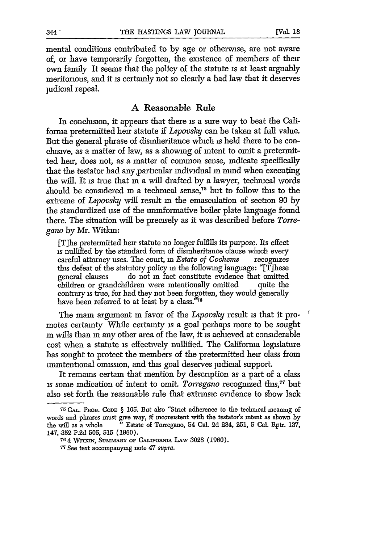mental conditions contributed to by age or otherwise, are not aware of, or have temporarily forgotten, the existence of members of their own family It seems that the policy of the statute is at least arguably meritorious, and it is certainly not so clearly a bad law that it deserves judicial repeal.

#### **A** Reasonable Rule

In conclusion, it appears that there is a sure way to beat the California pretermitted heir statute if *Lpovsky* can be taken at full value. But the general phrase of disinheritance which is held there to be conclusive, as a matter of law, as a showing of intent to omit a pretermitted heir, does not, as a matter of common sense, indicate specifically that the testator had any,particular individual in mind when executing the will. It is true that **in** a will drafted by a lawyer, technical words should be considered in a technical sense,<sup>75</sup> but to follow this to the extreme of *Lpovsky* will result **in** the emasculation of section 90 by the standardized use of the uninformative boiler plate language found there. The situation will be precisely as it was described before *Torregano* by Mr. Witkm:

[T]he pretermitted heir statute no longer fulfills its purpose. Its effect is nullified by the standard form of disinheritance clause which every careful attorney uses. The court, **in** *Estate of Cochems* recognizes this defeat of the statutory policy in the following language: "[Tjhese general clauses do not in fact constitute evidence that omitted children or grandchildren were intentionally omitted contrary is true, for had they not been forgotten, they would generally have been referred to at least by a class."76

The main argument **in** favor of the *Lpovsky* result is that it promotes certainty While certainty **is** a goal perhaps more to be sought **in** wills than in any other area of the law, it is achieved at considerable cost when a statute is effectively nullified. The California legislature has sought to protect the members of the pretermitted heir class from unintentional omission, and this goal deserves judicial support.

It remains certain that mention by description as a part of a class is some indication of intent to omit. *Torregano* recognized **this, 77** but also set forth the reasonable rule that extrinsic evidence to show lack

**<sup>75</sup>CAL.** PnoB. CODE: **§** 105. But also "Strict adherence to the technical meaning of words and phrases must give way, if inconsistent with the testator's intent as shown **by** the will as a whole "Estate of Torregano, 54 Cal. 2d 234, 251, **5** Cal. Rptr. 137, 147, 352 **P.2d** *505,* 515 (1960).

**<sup>764</sup>** *WrrmN,* Summ~ny oF *CALXwoRNu* LAw 3028 (1960).

**<sup>77</sup>**See text accompanying note 47 supra.